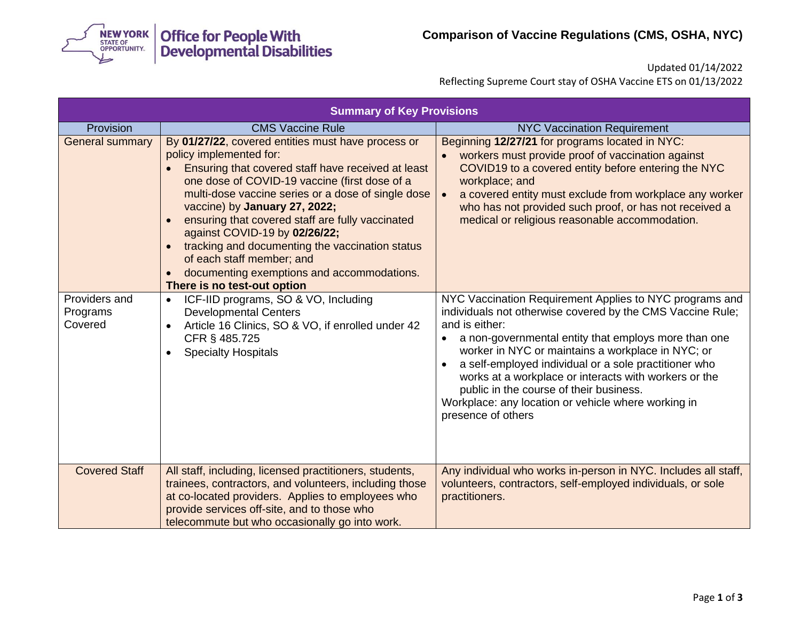

Updated 01/14/2022

Reflecting Supreme Court stay of OSHA Vaccine ETS on 01/13/2022

| <b>Summary of Key Provisions</b>     |                                                                                                                                                                                                                                                                                                                                                                                                                                                                                                                                                          |                                                                                                                                                                                                                                                                                                                                                                                                                                                                                                |  |
|--------------------------------------|----------------------------------------------------------------------------------------------------------------------------------------------------------------------------------------------------------------------------------------------------------------------------------------------------------------------------------------------------------------------------------------------------------------------------------------------------------------------------------------------------------------------------------------------------------|------------------------------------------------------------------------------------------------------------------------------------------------------------------------------------------------------------------------------------------------------------------------------------------------------------------------------------------------------------------------------------------------------------------------------------------------------------------------------------------------|--|
| Provision<br><b>General summary</b>  | <b>CMS Vaccine Rule</b><br>By 01/27/22, covered entities must have process or<br>policy implemented for:<br>Ensuring that covered staff have received at least<br>one dose of COVID-19 vaccine (first dose of a<br>multi-dose vaccine series or a dose of single dose<br>vaccine) by January 27, 2022;<br>ensuring that covered staff are fully vaccinated<br>against COVID-19 by 02/26/22;<br>tracking and documenting the vaccination status<br>of each staff member; and<br>documenting exemptions and accommodations.<br>There is no test-out option | <b>NYC Vaccination Requirement</b><br>Beginning 12/27/21 for programs located in NYC:<br>workers must provide proof of vaccination against<br>COVID19 to a covered entity before entering the NYC<br>workplace; and<br>a covered entity must exclude from workplace any worker<br>who has not provided such proof, or has not received a<br>medical or religious reasonable accommodation.                                                                                                     |  |
| Providers and<br>Programs<br>Covered | ICF-IID programs, SO & VO, Including<br>$\bullet$<br><b>Developmental Centers</b><br>Article 16 Clinics, SO & VO, if enrolled under 42<br>$\bullet$<br>CFR § 485.725<br><b>Specialty Hospitals</b>                                                                                                                                                                                                                                                                                                                                                       | NYC Vaccination Requirement Applies to NYC programs and<br>individuals not otherwise covered by the CMS Vaccine Rule;<br>and is either:<br>a non-governmental entity that employs more than one<br>worker in NYC or maintains a workplace in NYC; or<br>a self-employed individual or a sole practitioner who<br>works at a workplace or interacts with workers or the<br>public in the course of their business.<br>Workplace: any location or vehicle where working in<br>presence of others |  |
| <b>Covered Staff</b>                 | All staff, including, licensed practitioners, students,<br>trainees, contractors, and volunteers, including those<br>at co-located providers. Applies to employees who<br>provide services off-site, and to those who<br>telecommute but who occasionally go into work.                                                                                                                                                                                                                                                                                  | Any individual who works in-person in NYC. Includes all staff,<br>volunteers, contractors, self-employed individuals, or sole<br>practitioners.                                                                                                                                                                                                                                                                                                                                                |  |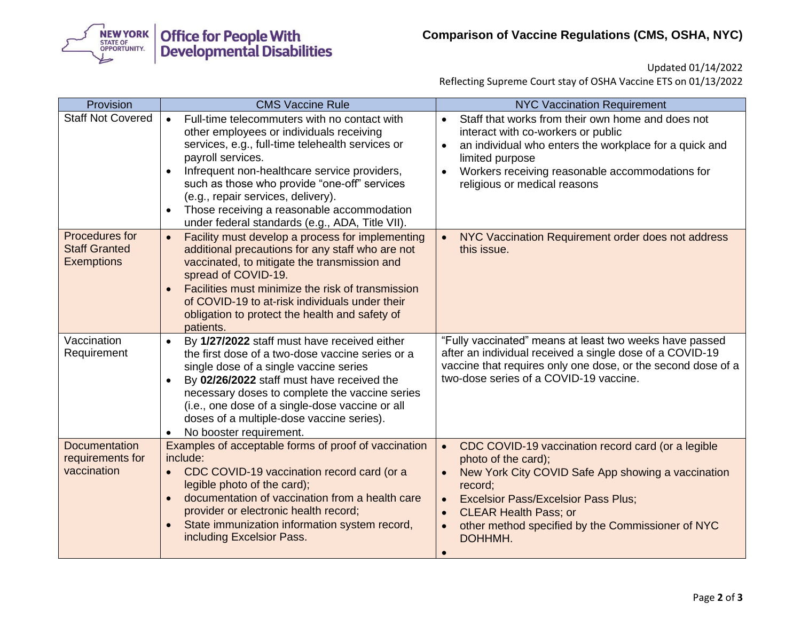

Updated 01/14/2022

Reflecting Supreme Court stay of OSHA Vaccine ETS on 01/13/2022

| Provision                                                   | <b>CMS Vaccine Rule</b>                                                                                                                                                                                                                                                                                                                                                                                               | <b>NYC Vaccination Requirement</b>                                                                                                                                                                                                                                                                                                           |
|-------------------------------------------------------------|-----------------------------------------------------------------------------------------------------------------------------------------------------------------------------------------------------------------------------------------------------------------------------------------------------------------------------------------------------------------------------------------------------------------------|----------------------------------------------------------------------------------------------------------------------------------------------------------------------------------------------------------------------------------------------------------------------------------------------------------------------------------------------|
| <b>Staff Not Covered</b>                                    | Full-time telecommuters with no contact with<br>$\bullet$<br>other employees or individuals receiving<br>services, e.g., full-time telehealth services or<br>payroll services.<br>Infrequent non-healthcare service providers,<br>such as those who provide "one-off" services<br>(e.g., repair services, delivery).<br>Those receiving a reasonable accommodation<br>under federal standards (e.g., ADA, Title VII). | Staff that works from their own home and does not<br>$\bullet$<br>interact with co-workers or public<br>an individual who enters the workplace for a quick and<br>$\bullet$<br>limited purpose<br>Workers receiving reasonable accommodations for<br>$\bullet$<br>religious or medical reasons                                               |
| Procedures for<br><b>Staff Granted</b><br><b>Exemptions</b> | Facility must develop a process for implementing<br>$\bullet$<br>additional precautions for any staff who are not<br>vaccinated, to mitigate the transmission and<br>spread of COVID-19.<br>Facilities must minimize the risk of transmission<br>of COVID-19 to at-risk individuals under their<br>obligation to protect the health and safety of<br>patients.                                                        | NYC Vaccination Requirement order does not address<br>this issue.                                                                                                                                                                                                                                                                            |
| Vaccination<br>Requirement                                  | By 1/27/2022 staff must have received either<br>$\bullet$<br>the first dose of a two-dose vaccine series or a<br>single dose of a single vaccine series<br>By 02/26/2022 staff must have received the<br>necessary doses to complete the vaccine series<br>(i.e., one dose of a single-dose vaccine or all<br>doses of a multiple-dose vaccine series).<br>No booster requirement.                                    | "Fully vaccinated" means at least two weeks have passed<br>after an individual received a single dose of a COVID-19<br>vaccine that requires only one dose, or the second dose of a<br>two-dose series of a COVID-19 vaccine.                                                                                                                |
| <b>Documentation</b><br>requirements for<br>vaccination     | Examples of acceptable forms of proof of vaccination<br>include:<br>CDC COVID-19 vaccination record card (or a<br>$\bullet$<br>legible photo of the card);<br>documentation of vaccination from a health care<br>provider or electronic health record;<br>State immunization information system record,<br>including Excelsior Pass.                                                                                  | CDC COVID-19 vaccination record card (or a legible<br>$\bullet$<br>photo of the card);<br>New York City COVID Safe App showing a vaccination<br>record;<br><b>Excelsior Pass/Excelsior Pass Plus;</b><br>$\bullet$<br><b>CLEAR Health Pass; or</b><br>$\bullet$<br>other method specified by the Commissioner of NYC<br>DOHHMH.<br>$\bullet$ |